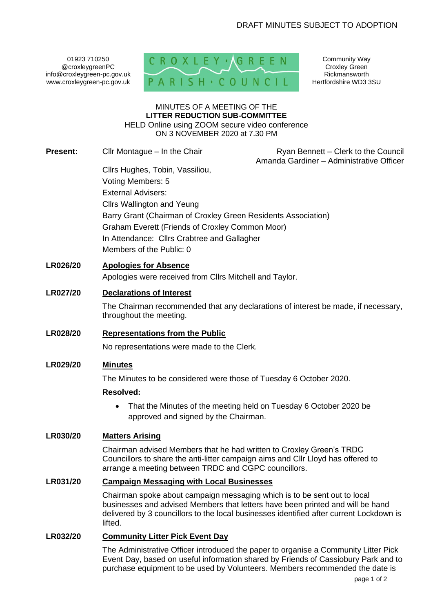01923 710250 @croxleygreenPC info@croxleygreen-pc.gov.uk www.croxleygreen-pc.gov.uk



Community Way Croxley Green Rickmansworth Hertfordshire WD3 3SU

#### MINUTES OF A MEETING OF THE **LITTER REDUCTION SUB-COMMITTEE** HELD Online using ZOOM secure video conference ON 3 NOVEMBER 2020 at 7.30 PM

**Present:** Cllr Montague – In the Chair Ryan Bennett – Clerk to the Council

Amanda Gardiner – Administrative Officer

Cllrs Hughes, Tobin, Vassiliou, Voting Members: 5 External Advisers: Cllrs Wallington and Yeung Barry Grant (Chairman of Croxley Green Residents Association) Graham Everett (Friends of Croxley Common Moor) In Attendance: Cllrs Crabtree and Gallagher Members of the Public: 0

## **LR026/20 Apologies for Absence**

Apologies were received from Cllrs Mitchell and Taylor.

#### **LR027/20 Declarations of Interest**

The Chairman recommended that any declarations of interest be made, if necessary, throughout the meeting.

**LR028/20 Representations from the Public**

No representations were made to the Clerk.

# **LR029/20 Minutes**

The Minutes to be considered were those of Tuesday 6 October 2020.

#### **Resolved:**

• That the Minutes of the meeting held on Tuesday 6 October 2020 be approved and signed by the Chairman.

# **LR030/20 Matters Arising**

Chairman advised Members that he had written to Croxley Green's TRDC Councillors to share the anti-litter campaign aims and Cllr Lloyd has offered to arrange a meeting between TRDC and CGPC councillors.

## **LR031/20 Campaign Messaging with Local Businesses**

Chairman spoke about campaign messaging which is to be sent out to local businesses and advised Members that letters have been printed and will be hand delivered by 3 councillors to the local businesses identified after current Lockdown is lifted.

### **LR032/20 Community Litter Pick Event Day**

The Administrative Officer introduced the paper to organise a Community Litter Pick Event Day, based on useful information shared by Friends of Cassiobury Park and to purchase equipment to be used by Volunteers. Members recommended the date is